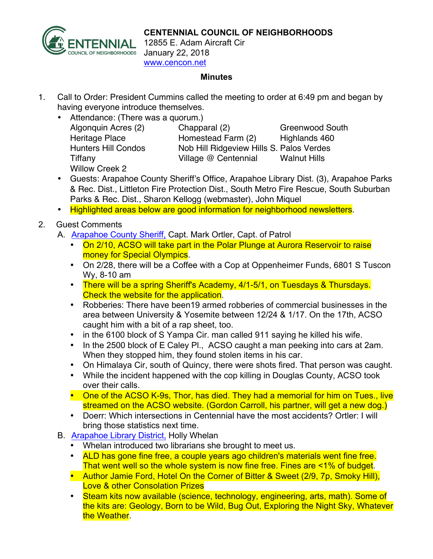

**CENTENNIAL COUNCIL OF NEIGHBORHOODS**

12855 E. Adam Aircraft Cir January 22, 2018 www.cencon.net

## **Minutes**

- 1. Call to Order: President Cummins called the meeting to order at 6:49 pm and began by having everyone introduce themselves.
	- Attendance: (There was a quorum.) Willow Creek 2

Algonquin Acres (2) Chapparal (2) Greenwood South Heritage Place **Homestead Farm (2)** Highlands 460 Hunters Hill Condos Nob Hill Ridgeview Hills S. Palos Verdes Tiffany Village @ Centennial Walnut Hills

- Guests: Arapahoe County Sheriff's Office, Arapahoe Library Dist. (3), Arapahoe Parks & Rec. Dist., Littleton Fire Protection Dist., South Metro Fire Rescue, South Suburban Parks & Rec. Dist., Sharon Kellogg (webmaster), John Miquel
- Highlighted areas below are good information for neighborhood newsletters.
- 2. Guest Comments
	- A. [Arapahoe County Sheriff,](http://www.arapahoesheriff.org) Capt. Mark Ortler, Capt. of Patrol
		- On 2/10, ACSO will take part in the Polar Plunge at Aurora Reservoir to raise money for Special Olympics.
		- On 2/28, there will be a Coffee with a Cop at Oppenheimer Funds, 6801 S Tuscon Wy, 8-10 am
		- There will be a spring Sheriff's Academy, 4/1-5/1, on Tuesdays & Thursdays. Check the website for the application.
		- Robberies: There have been19 armed robberies of commercial businesses in the area between University & Yosemite between 12/24 & 1/17. On the 17th, ACSO caught him with a bit of a rap sheet, too.
		- in the 6100 block of S Yampa Cir. man called 911 saying he killed his wife.
		- In the 2500 block of E Caley Pl., ACSO caught a man peeking into cars at 2am. When they stopped him, they found stolen items in his car.
		- On Himalaya Cir, south of Quincy, there were shots fired. That person was caught.
		- While the incident happened with the cop killing in Douglas County, ACSO took over their calls.
		- One of the ACSO K-9s, Thor, has died. They had a memorial for him on Tues., live streamed on the ACSO website. (Gordon Carroll, his partner, will get a new dog.)
		- Doerr: Which intersections in Centennial have the most accidents? Ortler: I will bring those statistics next time.
	- B. [Arapahoe Library District,](http://www.arapahoelibraries.org/) Holly Whelan
		- Whelan introduced two librarians she brought to meet us.
		- ALD has gone fine free, a couple years ago children's materials went fine free. That went well so the whole system is now fine free. Fines are <1% of budget.
		- Author Jamie Ford, Hotel On the Corner of Bitter & Sweet (2/9, 7p, Smoky Hill), Love & other Consolation Prizes
		- Steam kits now available (science, technology, engineering, arts, math). Some of the kits are: Geology, Born to be Wild, Bug Out, Exploring the Night Sky, Whatever the Weather.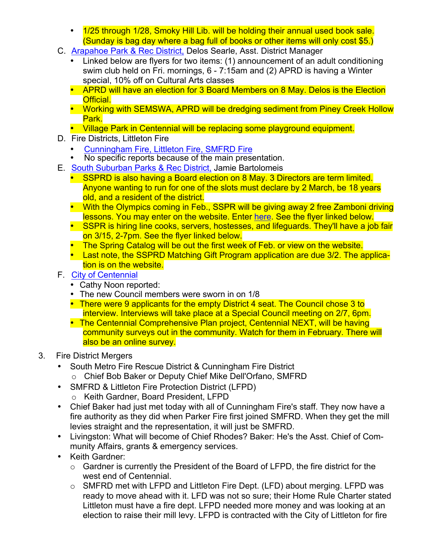- 1/25 through 1/28, Smoky Hill Lib. will be holding their annual used book sale. (Sunday is bag day where a bag full of books or other items will only cost \$5.)
- C. [Arapahoe Park & Rec District,](http://www.aprd.org) Delos Searle, Asst. District Manager
	- Linked below are flyers for two items: (1) announcement of an adult conditioning swim club held on Fri. mornings, 6 - 7:15am and (2) APRD is having a Winter special, 10% off on Cultural Arts classes
	- APRD will have an election for 3 Board Members on 8 May. Delos is the Election Official.
	- Working with SEMSWA, APRD will be dredging sediment from Piney Creek Hollow Park.
	- Village Park in Centennial will be replacing some playground equipment.
- D. Fire Districts, Littleton Fire
	- [Cunningham Fire,](http://www.cfpd.org) [Littleton Fire,](http://www.littletongov.org/fire) [SMFRD](http://www.southmetro.org) Fire
	- No specific reports because of the main presentation.
- E. [South Suburban Parks & Rec District,](http://www.SSPR.org) Jamie Bartolomeis
	- SSPRD is also having a Board election on 8 May. 3 Directors are term limited. Anyone wanting to run for one of the slots must declare by 2 March, be 18 years old, and a resident of the district.
	- With the Olympics coming in Feb., SSPR will be giving away 2 free Zamboni driving lessons. You may enter on the website. Enter here. See the flyer linked below.
	- SSPR is hiring line cooks, servers, hostesses, and lifeguards. They'll have a job fair on 3/15, 2-7pm. See the flyer linked below.
	- The Spring Catalog will be out the first week of Feb. or view on the website.
	- Last note, the SSPRD Matching Gift Program application are due 3/2. The application is on the website.
- F. [City of Centennial](http://www.centennialco.gov)
	- Cathy Noon reported:
	- The new Council members were sworn in on 1/8
	- There were 9 applicants for the empty District 4 seat. The Council chose 3 to interview. Interviews will take place at a Special Council meeting on 2/7, 6pm.
	- The Centennial Comprehensive Plan project, Centennial NEXT, will be having community surveys out in the community. Watch for them in February. There will also be an online survey.
- 3. Fire District Mergers
	- South Metro Fire Rescue District & Cunningham Fire District
		- o Chief Bob Baker or Deputy Chief Mike Dell'Orfano, SMFRD
	- SMFRD & Littleton Fire Protection District (LFPD)
		- o Keith Gardner, Board President, LFPD
	- Chief Baker had just met today with all of Cunningham Fire's staff. They now have a fire authority as they did when Parker Fire first joined SMFRD. When they get the mill levies straight and the representation, it will just be SMFRD.
	- Livingston: What will become of Chief Rhodes? Baker: He's the Asst. Chief of Community Affairs, grants & emergency services.
	- Keith Gardner:
		- o Gardner is currently the President of the Board of LFPD, the fire district for the west end of Centennial.
		- $\circ$  SMFRD met with LFPD and Littleton Fire Dept. (LFD) about merging. LFPD was ready to move ahead with it. LFD was not so sure; their Home Rule Charter stated Littleton must have a fire dept. LFPD needed more money and was looking at an election to raise their mill levy. LFPD is contracted with the City of Littleton for fire